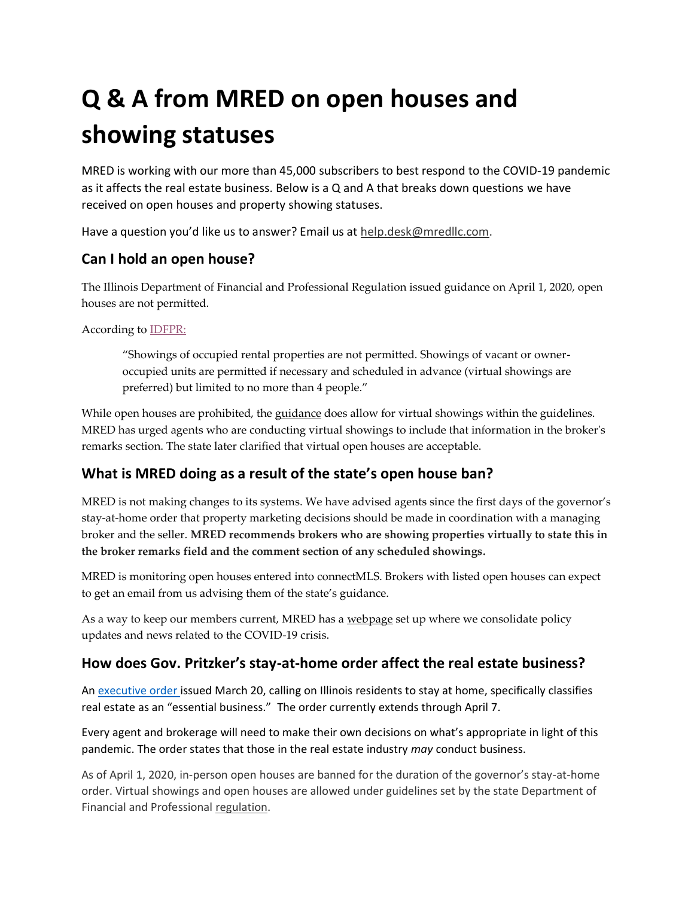# **Q & A from MRED on open houses and showing statuses**

MRED is working with our more than 45,000 subscribers to best respond to the COVID-19 pandemic as it affects the real estate business. Below is a Q and A that breaks down questions we have received on open houses and property showing statuses.

Have a question you'd like us to answer? Email us at [help.desk@mredllc.com.](mailto:help.desk@mredllc.com)

#### **Can I hold an open house?**

The Illinois Department of Financial and Professional Regulation issued guidance on April 1, 2020, open houses are not permitted.

#### According to [IDFPR:](https://www2.illinois.gov/dceo/Documents/Essential%20Business%20FAQ%20-%204.1.20.pdf)

"Showings of occupied rental properties are not permitted. Showings of vacant or owneroccupied units are permitted if necessary and scheduled in advance (virtual showings are preferred) but limited to no more than 4 people."

While open houses are prohibited, the [guidance](https://www.idfpr.com/Forms/DRE/2020%2004%2002%20DRE%20Profession%20Guidance.pdf) does allow for virtual showings within the guidelines. MRED has urged agents who are conducting virtual showings to include that information in the broker's remarks section. The state later clarified that virtual open houses are acceptable.

#### **What is MRED doing as a result of the state's open house ban?**

MRED is not making changes to its systems. We have advised agents since the first days of the governor's stay-at-home order that property marketing decisions should be made in coordination with a managing broker and the seller. **MRED recommends brokers who are showing properties virtually to state this in the broker remarks field and the comment section of any scheduled showings.**

MRED is monitoring open houses entered into connectMLS. Brokers with listed open houses can expect to get an email from us advising them of the state's guidance.

As a way to keep our members current, MRED has a [webpage](https://ww2.mredllc.com/covid-19-info/) set up where we consolidate policy updates and news related to the COVID-19 crisis.

#### **How does Gov. Pritzker's stay-at-home order affect the real estate business?**

A[n executive order](https://www2.illinois.gov/Documents/ExecOrders/2020/ExecutiveOrder-2020-10.pdf) issued March 20, calling on Illinois residents to stay at home, specifically classifies real estate as an "essential business." The order currently extends through April 7.

Every agent and brokerage will need to make their own decisions on what's appropriate in light of this pandemic. The order states that those in the real estate industry *may* conduct business.

As of April 1, 2020, in-person open houses are banned for the duration of the governor's stay-at-home order. Virtual showings and open houses are allowed under guidelines set by the state Department of Financial and Professional [regulation.](https://www.idfpr.com/Forms/DRE/2020%2004%2002%20DRE%20Profession%20Guidance.pdf)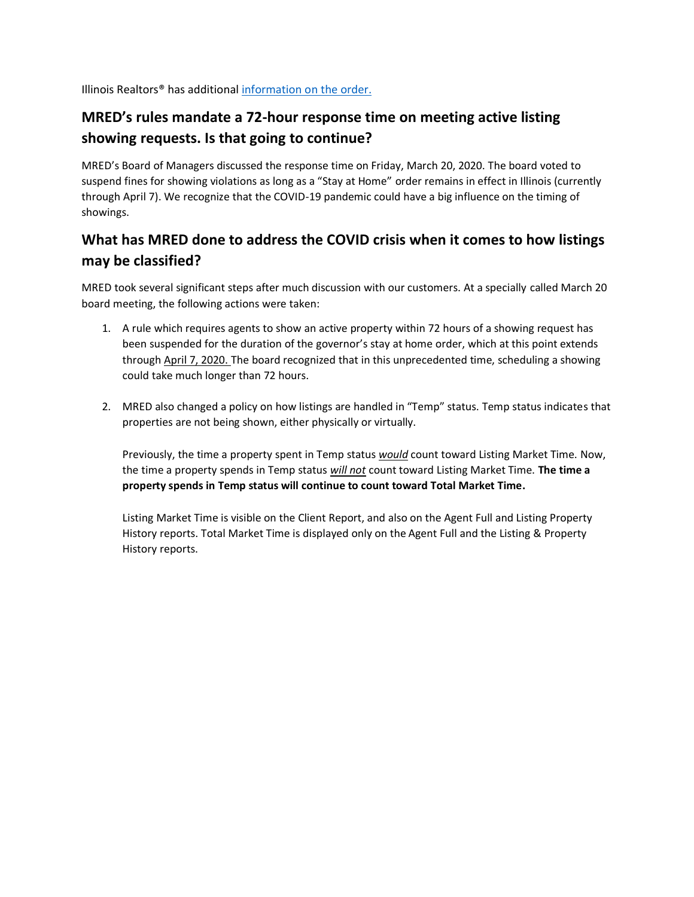Illinois Realtors® has additional [information](https://www.illinoisrealtors.org/blog/governor-pritzker-issues-stay-at-home-order/?utm_source=website&utm_medium=covid&utm_campaign=homeslider) on the order.

## **MRED's rules mandate a 72-hour response time on meeting active listing showing requests. Is that going to continue?**

MRED's Board of Managers discussed the response time on Friday, March 20, 2020. The board voted to suspend fines for showing violations as long as a "Stay at Home" order remains in effect in Illinois (currently through April 7). We recognize that the COVID-19 pandemic could have a big influence on the timing of showings.

#### **What has MRED done to address the COVID crisis when it comes to how listings may be classified?**

MRED took several significant steps after much discussion with our customers. At a specially called March 20 board meeting, the following actions were taken:

- 1. A rule which requires agents to show an active property within 72 hours of a showing request has been suspended for the duration of the governor's stay at home order, which at this point extends throug[h April 7, 2020.](https://www2.illinois.gov/Documents/ExecOrders/2020/ExecutiveOrder-2020-10.pdf) The board recognized that in this unprecedented time, scheduling a showing could take much longer than 72 hours.
- 2. MRED also changed a policy on how listings are handled in "Temp" status. Temp status indicates that properties are not being shown, either physically or virtually.

Previously, the time a property spent in Temp status *would* count toward Listing Market Time. Now, the time a property spends in Temp status *will not* count toward Listing Market Time. **The time a property spends in Temp status will continue to count toward Total Market Time.** 

Listing Market Time is visible on the Client Report, and also on the Agent Full and Listing Property History reports. Total Market Time is displayed only on the Agent Full and the Listing & Property History reports.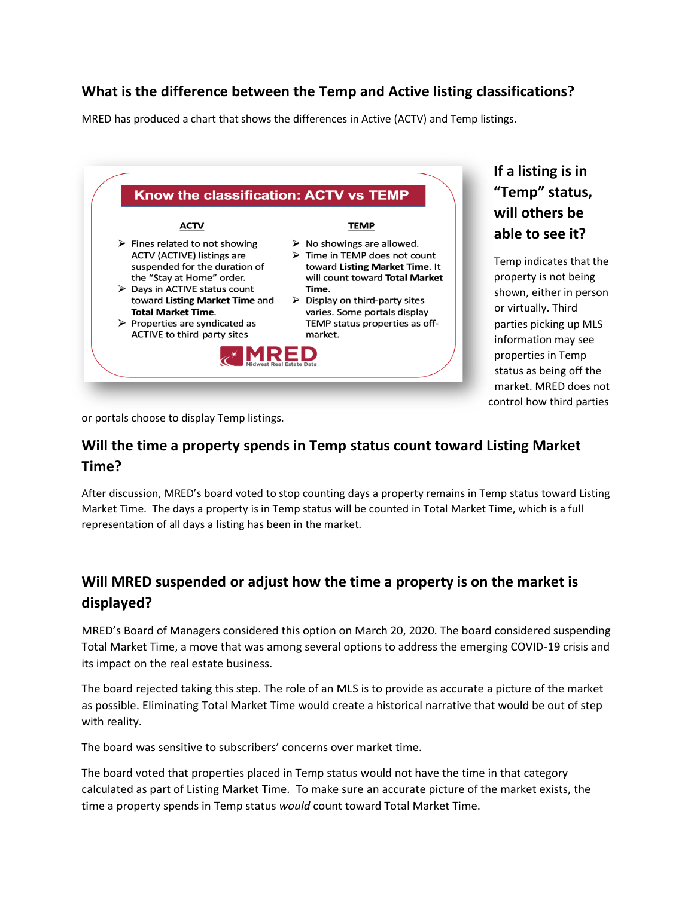#### **What is the difference between the Temp and Active listing classifications?**

MRED has produced a chart that shows the differences in Active (ACTV) and Temp listings.



**If a listing is in "Temp" status, will others be able to see it?** 

Temp indicates that the property is not being shown, either in person or virtually. Third parties picking up MLS information may see properties in Temp status as being off the market. MRED does not control how third parties

or portals choose to display Temp listings.

#### **Will the time a property spends in Temp status count toward Listing Market Time?**

After discussion, MRED's board voted to stop counting days a property remains in Temp status toward Listing Market Time. The days a property is in Temp status will be counted in Total Market Time, which is a full representation of all days a listing has been in the market.

## **Will MRED suspended or adjust how the time a property is on the market is displayed?**

MRED's Board of Managers considered this option on March 20, 2020. The board considered suspending Total Market Time, a move that was among several options to address the emerging COVID-19 crisis and its impact on the real estate business.

The board rejected taking this step. The role of an MLS is to provide as accurate a picture of the market as possible. Eliminating Total Market Time would create a historical narrative that would be out of step with reality.

The board was sensitive to subscribers' concerns over market time.

The board voted that properties placed in Temp status would not have the time in that category calculated as part of Listing Market Time. To make sure an accurate picture of the market exists, the time a property spends in Temp status *would* count toward Total Market Time.